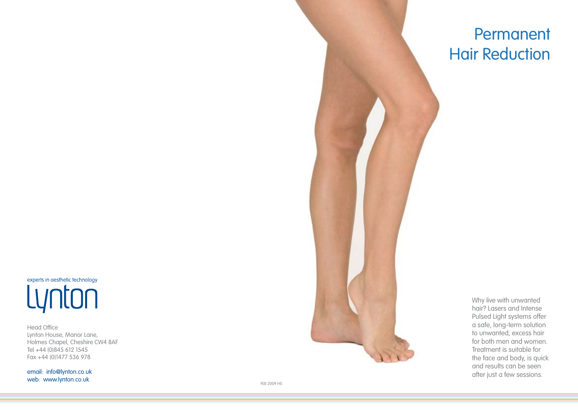experts in aesthetic technology Lynton

Head Office Lynton House, Manor Lane, Holmes Chapel, Cheshire CW4 8AF Tel +44 (0)845 612 1545 Fax +44 (0)1477 536 978

email: info@lynton.co.uk web: www.lynton.co.uk



# Permanent Hair Reduction

Why live with unwanted hair? Lasers and Intense Pulsed Light systems offer a safe, long-term solution to unwanted, excess hair for both men and women. Treatment is suitable for the face and body, is quick and results can be seen after just a few sessions.